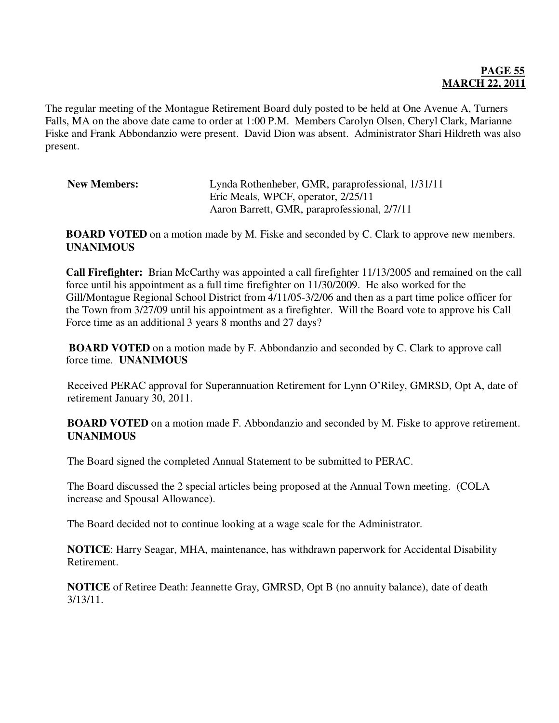## **PAGE 55 MARCH 22, 2011**

The regular meeting of the Montague Retirement Board duly posted to be held at One Avenue A, Turners Falls, MA on the above date came to order at 1:00 P.M. Members Carolyn Olsen, Cheryl Clark, Marianne Fiske and Frank Abbondanzio were present. David Dion was absent. Administrator Shari Hildreth was also present.

| <b>New Members:</b> | Lynda Rothenheber, GMR, paraprofessional, 1/31/11 |
|---------------------|---------------------------------------------------|
|                     | Eric Meals, WPCF, operator, 2/25/11               |
|                     | Aaron Barrett, GMR, paraprofessional, 2/7/11      |

**BOARD VOTED** on a motion made by M. Fiske and seconded by C. Clark to approve new members. **UNANIMOUS** 

**Call Firefighter:** Brian McCarthy was appointed a call firefighter 11/13/2005 and remained on the call force until his appointment as a full time firefighter on 11/30/2009. He also worked for the Gill/Montague Regional School District from 4/11/05-3/2/06 and then as a part time police officer for the Town from 3/27/09 until his appointment as a firefighter. Will the Board vote to approve his Call Force time as an additional 3 years 8 months and 27 days?

**BOARD VOTED** on a motion made by F. Abbondanzio and seconded by C. Clark to approve call force time. **UNANIMOUS**

Received PERAC approval for Superannuation Retirement for Lynn O'Riley, GMRSD, Opt A, date of retirement January 30, 2011.

**BOARD VOTED** on a motion made F. Abbondanzio and seconded by M. Fiske to approve retirement. **UNANIMOUS** 

The Board signed the completed Annual Statement to be submitted to PERAC.

The Board discussed the 2 special articles being proposed at the Annual Town meeting. (COLA increase and Spousal Allowance).

The Board decided not to continue looking at a wage scale for the Administrator.

**NOTICE**: Harry Seagar, MHA, maintenance, has withdrawn paperwork for Accidental Disability Retirement.

**NOTICE** of Retiree Death: Jeannette Gray, GMRSD, Opt B (no annuity balance), date of death 3/13/11.